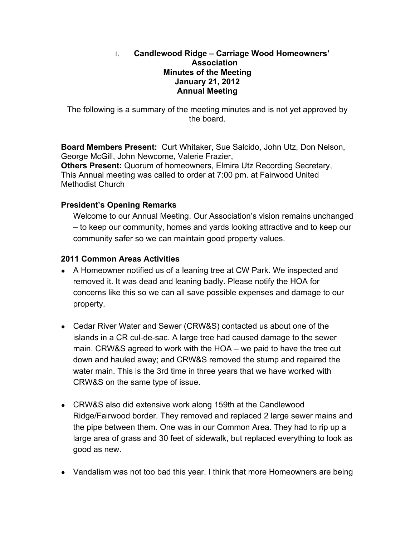#### 1. **Candlewood Ridge – Carriage Wood Homeowners' Association Minutes of the Meeting January 21, 2012 Annual Meeting**

The following is a summary of the meeting minutes and is not yet approved by the board.

**Board Members Present:** Curt Whitaker, Sue Salcido, John Utz, Don Nelson, George McGill, John Newcome, Valerie Frazier,

**Others Present:** Quorum of homeowners, Elmira Utz Recording Secretary, This Annual meeting was called to order at 7:00 pm. at Fairwood United Methodist Church

## **President's Opening Remarks**

Welcome to our Annual Meeting. Our Association's vision remains unchanged – to keep our community, homes and yards looking attractive and to keep our community safer so we can maintain good property values.

## **2011 Common Areas Activities**

- A Homeowner notified us of a leaning tree at CW Park. We inspected and removed it. It was dead and leaning badly. Please notify the HOA for concerns like this so we can all save possible expenses and damage to our property.
- Cedar River Water and Sewer (CRW&S) contacted us about one of the islands in a CR cul-de-sac. A large tree had caused damage to the sewer main. CRW&S agreed to work with the HOA – we paid to have the tree cut down and hauled away; and CRW&S removed the stump and repaired the water main. This is the 3rd time in three years that we have worked with CRW&S on the same type of issue.
- CRW&S also did extensive work along 159th at the Candlewood Ridge/Fairwood border. They removed and replaced 2 large sewer mains and the pipe between them. One was in our Common Area. They had to rip up a large area of grass and 30 feet of sidewalk, but replaced everything to look as good as new.
- Vandalism was not too bad this year. I think that more Homeowners are being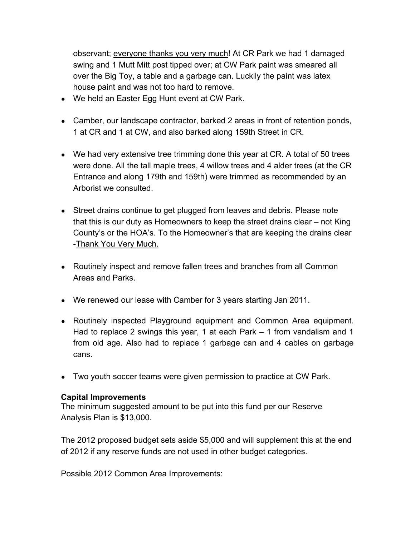observant; everyone thanks you very much! At CR Park we had 1 damaged swing and 1 Mutt Mitt post tipped over; at CW Park paint was smeared all over the Big Toy, a table and a garbage can. Luckily the paint was latex house paint and was not too hard to remove.

- We held an Easter Egg Hunt event at CW Park.
- Camber, our landscape contractor, barked 2 areas in front of retention ponds, 1 at CR and 1 at CW, and also barked along 159th Street in CR.
- We had very extensive tree trimming done this year at CR. A total of 50 trees were done. All the tall maple trees, 4 willow trees and 4 alder trees (at the CR Entrance and along 179th and 159th) were trimmed as recommended by an Arborist we consulted.
- Street drains continue to get plugged from leaves and debris. Please note that this is our duty as Homeowners to keep the street drains clear – not King County's or the HOA's. To the Homeowner's that are keeping the drains clear -Thank You Very Much.
- Routinely inspect and remove fallen trees and branches from all Common Areas and Parks.
- We renewed our lease with Camber for 3 years starting Jan 2011.
- Routinely inspected Playground equipment and Common Area equipment. Had to replace 2 swings this year, 1 at each Park – 1 from vandalism and 1 from old age. Also had to replace 1 garbage can and 4 cables on garbage cans.
- Two youth soccer teams were given permission to practice at CW Park.

#### **Capital Improvements**

The minimum suggested amount to be put into this fund per our Reserve Analysis Plan is \$13,000.

The 2012 proposed budget sets aside \$5,000 and will supplement this at the end of 2012 if any reserve funds are not used in other budget categories.

Possible 2012 Common Area Improvements: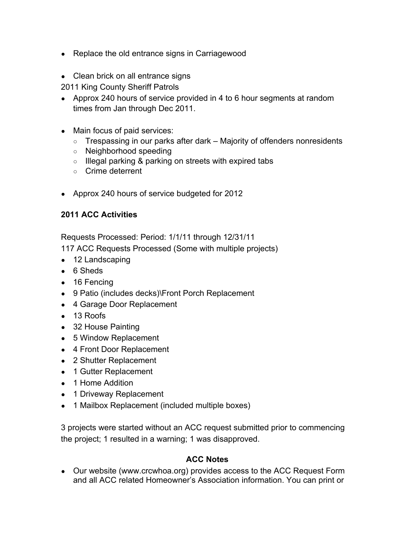- Replace the old entrance signs in Carriagewood
- Clean brick on all entrance signs
- 2011 King County Sheriff Patrols
- Approx 240 hours of service provided in 4 to 6 hour segments at random times from Jan through Dec 2011.
- Main focus of paid services:
	- Trespassing in our parks after dark Majority of offenders nonresidents
	- Neighborhood speeding
	- o Illegal parking & parking on streets with expired tabs
	- Crime deterrent
- Approx 240 hours of service budgeted for 2012

## **2011 ACC Activities**

Requests Processed: Period: 1/1/11 through 12/31/11

117 ACC Requests Processed (Some with multiple projects)

- 12 Landscaping
- 6 Sheds
- 16 Fencing
- 9 Patio (includes decks)\Front Porch Replacement
- 4 Garage Door Replacement
- 13 Roofs
- 32 House Painting
- 5 Window Replacement
- 4 Front Door Replacement
- 2 Shutter Replacement
- 1 Gutter Replacement
- 1 Home Addition
- 1 Driveway Replacement
- 1 Mailbox Replacement (included multiple boxes)

3 projects were started without an ACC request submitted prior to commencing the project; 1 resulted in a warning; 1 was disapproved.

## **ACC Notes**

• Our website (www.crcwhoa.org) provides access to the ACC Request Form and all ACC related Homeowner's Association information. You can print or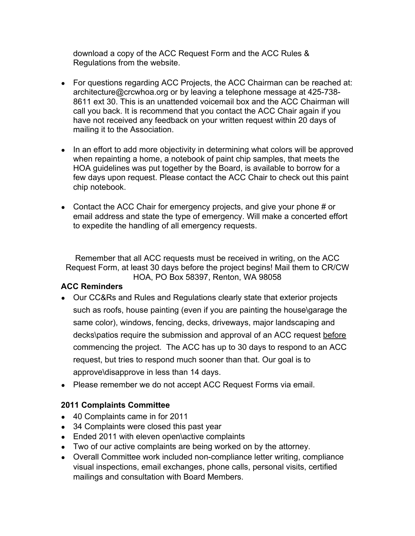download a copy of the ACC Request Form and the ACC Rules & Regulations from the website.

- For questions regarding ACC Projects, the ACC Chairman can be reached at: architecture@crcwhoa.org or by leaving a telephone message at 425-738- 8611 ext 30. This is an unattended voicemail box and the ACC Chairman will call you back. It is recommend that you contact the ACC Chair again if you have not received any feedback on your written request within 20 days of mailing it to the Association.
- In an effort to add more objectivity in determining what colors will be approved when repainting a home, a notebook of paint chip samples, that meets the HOA guidelines was put together by the Board, is available to borrow for a few days upon request. Please contact the ACC Chair to check out this paint chip notebook.
- Contact the ACC Chair for emergency projects, and give your phone # or email address and state the type of emergency. Will make a concerted effort to expedite the handling of all emergency requests.

Remember that all ACC requests must be received in writing, on the ACC Request Form, at least 30 days before the project begins! Mail them to CR/CW HOA, PO Box 58397, Renton, WA 98058

## **ACC Reminders**

- Our CC&Rs and Rules and Regulations clearly state that exterior projects such as roofs, house painting (even if you are painting the house\garage the same color), windows, fencing, decks, driveways, major landscaping and decks\patios require the submission and approval of an ACC request before commencing the project. The ACC has up to 30 days to respond to an ACC request, but tries to respond much sooner than that. Our goal is to approve\disapprove in less than 14 days.
- Please remember we do not accept ACC Request Forms via email.

# **2011 Complaints Committee**

- 40 Complaints came in for 2011
- 34 Complaints were closed this past year
- Ended 2011 with eleven open\active complaints
- Two of our active complaints are being worked on by the attorney.
- Overall Committee work included non-compliance letter writing, compliance visual inspections, email exchanges, phone calls, personal visits, certified mailings and consultation with Board Members.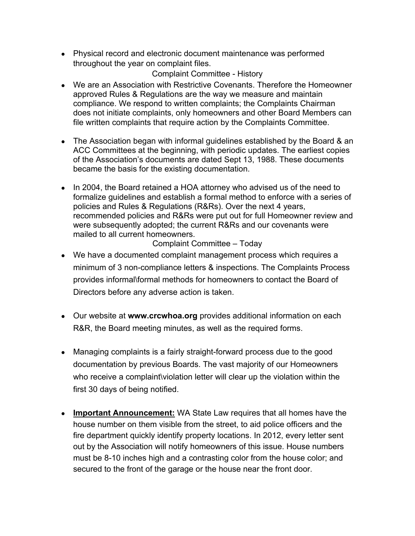● Physical record and electronic document maintenance was performed throughout the year on complaint files.

## Complaint Committee - History

- We are an Association with Restrictive Covenants. Therefore the Homeowner approved Rules & Regulations are the way we measure and maintain compliance. We respond to written complaints; the Complaints Chairman does not initiate complaints, only homeowners and other Board Members can file written complaints that require action by the Complaints Committee.
- The Association began with informal guidelines established by the Board & an ACC Committees at the beginning, with periodic updates. The earliest copies of the Association's documents are dated Sept 13, 1988. These documents became the basis for the existing documentation.
- In 2004, the Board retained a HOA attorney who advised us of the need to formalize guidelines and establish a formal method to enforce with a series of policies and Rules & Regulations (R&Rs). Over the next 4 years, recommended policies and R&Rs were put out for full Homeowner review and were subsequently adopted; the current R&Rs and our covenants were mailed to all current homeowners.

Complaint Committee – Today

- We have a documented complaint management process which requires a minimum of 3 non-compliance letters & inspections. The Complaints Process provides informal\formal methods for homeowners to contact the Board of Directors before any adverse action is taken.
- Our website at **www.crcwhoa.org** provides additional information on each R&R, the Board meeting minutes, as well as the required forms.
- Managing complaints is a fairly straight-forward process due to the good documentation by previous Boards. The vast majority of our Homeowners who receive a complaint\violation letter will clear up the violation within the first 30 days of being notified.
- **Important Announcement:** WA State Law requires that all homes have the house number on them visible from the street, to aid police officers and the fire department quickly identify property locations. In 2012, every letter sent out by the Association will notify homeowners of this issue. House numbers must be 8-10 inches high and a contrasting color from the house color; and secured to the front of the garage or the house near the front door.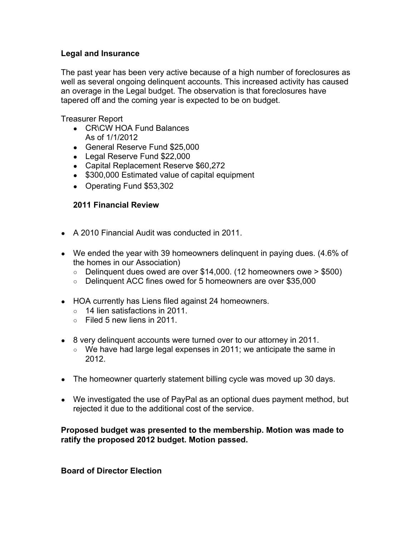### **Legal and Insurance**

The past year has been very active because of a high number of foreclosures as well as several ongoing delinquent accounts. This increased activity has caused an overage in the Legal budget. The observation is that foreclosures have tapered off and the coming year is expected to be on budget.

Treasurer Report

- CR\CW HOA Fund Balances As of 1/1/2012
- General Reserve Fund \$25,000
- Legal Reserve Fund \$22,000
- Capital Replacement Reserve \$60,272
- \$300,000 Estimated value of capital equipment
- Operating Fund \$53,302

### **2011 Financial Review**

- A 2010 Financial Audit was conducted in 2011.
- We ended the year with 39 homeowners delinguent in paying dues. (4.6% of the homes in our Association)
	- $\circ$  Delinquent dues owed are over \$14,000. (12 homeowners owe > \$500)
	- Delinquent ACC fines owed for 5 homeowners are over \$35,000
- HOA currently has Liens filed against 24 homeowners.
	- $\circ$  14 lien satisfactions in 2011.
	- $\circ$  Filed 5 new liens in 2011.
- 8 very delinquent accounts were turned over to our attorney in 2011.
	- We have had large legal expenses in 2011; we anticipate the same in 2012.
- The homeowner quarterly statement billing cycle was moved up 30 days.
- We investigated the use of PayPal as an optional dues payment method, but rejected it due to the additional cost of the service.

### **Proposed budget was presented to the membership. Motion was made to ratify the proposed 2012 budget. Motion passed.**

**Board of Director Election**